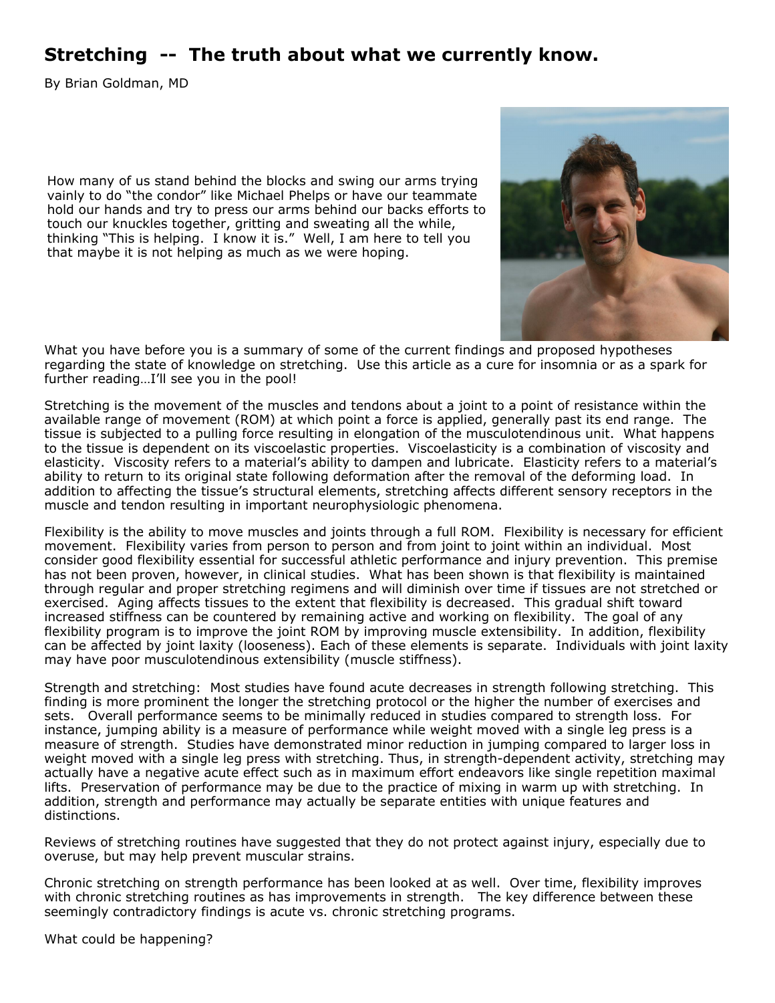## **Stretching -- The truth about what we currently know.**

By Brian Goldman, MD

How many of us stand behind the blocks and swing our arms trying vainly to do "the condor" like Michael Phelps or have our teammate hold our hands and try to press our arms behind our backs efforts to touch our knuckles together, gritting and sweating all the while, thinking "This is helping. I know it is." Well, I am here to tell you that maybe it is not helping as much as we were hoping.



What you have before you is a summary of some of the current findings and proposed hypotheses regarding the state of knowledge on stretching. Use this article as a cure for insomnia or as a spark for further reading...I'll see you in the pool!

Stretching is the movement of the muscles and tendons about a joint to a point of resistance within the available range of movement (ROM) at which point a force is applied, generally past its end range. The tissue is subjected to a pulling force resulting in elongation of the musculotendinous unit. What happens to the tissue is dependent on its viscoelastic properties. Viscoelasticity is a combination of viscosity and elasticity. Viscosity refers to a material's ability to dampen and lubricate. Elasticity refers to a material's ability to return to its original state following deformation after the removal of the deforming load. In addition to affecting the tissue's structural elements, stretching affects different sensory receptors in the muscle and tendon resulting in important neurophysiologic phenomena.

Flexibility is the ability to move muscles and joints through a full ROM. Flexibility is necessary for efficient movement. Flexibility varies from person to person and from joint to joint within an individual. Most consider good flexibility essential for successful athletic performance and injury prevention. This premise has not been proven, however, in clinical studies. What has been shown is that flexibility is maintained through regular and proper stretching regimens and will diminish over time if tissues are not stretched or exercised. Aging affects tissues to the extent that flexibility is decreased. This gradual shift toward increased stiffness can be countered by remaining active and working on flexibility. The goal of any flexibility program is to improve the joint ROM by improving muscle extensibility. In addition, flexibility can be affected by joint laxity (looseness). Each of these elements is separate. Individuals with joint laxity may have poor musculotendinous extensibility (muscle stiffness).

Strength and stretching: Most studies have found acute decreases in strength following stretching. This finding is more prominent the longer the stretching protocol or the higher the number of exercises and sets. Overall performance seems to be minimally reduced in studies compared to strength loss. For instance, jumping ability is a measure of performance while weight moved with a single leg press is a measure of strength. Studies have demonstrated minor reduction in jumping compared to larger loss in weight moved with a single leg press with stretching. Thus, in strength-dependent activity, stretching may actually have a negative acute effect such as in maximum effort endeavors like single repetition maximal lifts. Preservation of performance may be due to the practice of mixing in warm up with stretching. In addition, strength and performance may actually be separate entities with unique features and distinctions.

Reviews of stretching routines have suggested that they do not protect against injury, especially due to overuse, but may help prevent muscular strains.

Chronic stretching on strength performance has been looked at as well. Over time, flexibility improves with chronic stretching routines as has improvements in strength. The key difference between these seemingly contradictory findings is acute vs. chronic stretching programs.

What could be happening?